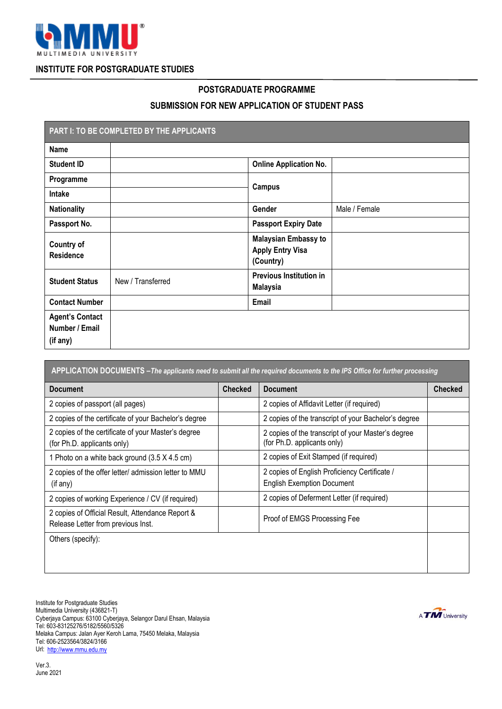

## **INSTITUTE FOR POSTGRADUATE STUDIES**

## **POSTGRADUATE PROGRAMME**

## **SUBMISSION FOR NEW APPLICATION OF STUDENT PASS**

| PART I: TO BE COMPLETED BY THE APPLICANTS<br>ı       |                   |                                                                     |               |  |
|------------------------------------------------------|-------------------|---------------------------------------------------------------------|---------------|--|
| <b>Name</b>                                          |                   |                                                                     |               |  |
| <b>Student ID</b>                                    |                   | <b>Online Application No.</b>                                       |               |  |
| Programme                                            |                   | <b>Campus</b>                                                       |               |  |
| Intake                                               |                   |                                                                     |               |  |
| <b>Nationality</b>                                   |                   | Gender                                                              | Male / Female |  |
| Passport No.                                         |                   | <b>Passport Expiry Date</b>                                         |               |  |
| <b>Country of</b><br><b>Residence</b>                |                   | <b>Malaysian Embassy to</b><br><b>Apply Entry Visa</b><br>(Country) |               |  |
| <b>Student Status</b>                                | New / Transferred | <b>Previous Institution in</b><br><b>Malaysia</b>                   |               |  |
| <b>Contact Number</b>                                |                   | Email                                                               |               |  |
| <b>Agent's Contact</b><br>Number / Email<br>(if any) |                   |                                                                     |               |  |

| APPLICATION DOCUMENTS - The applicants need to submit all the required documents to the IPS Office for further processing |                |                                                                                    |                |  |
|---------------------------------------------------------------------------------------------------------------------------|----------------|------------------------------------------------------------------------------------|----------------|--|
| <b>Document</b>                                                                                                           | <b>Checked</b> | <b>Document</b>                                                                    | <b>Checked</b> |  |
| 2 copies of passport (all pages)                                                                                          |                | 2 copies of Affidavit Letter (if required)                                         |                |  |
| 2 copies of the certificate of your Bachelor's degree                                                                     |                | 2 copies of the transcript of your Bachelor's degree                               |                |  |
| 2 copies of the certificate of your Master's degree<br>(for Ph.D. applicants only)                                        |                | 2 copies of the transcript of your Master's degree<br>(for Ph.D. applicants only)  |                |  |
| 1 Photo on a white back ground (3.5 X 4.5 cm)                                                                             |                | 2 copies of Exit Stamped (if required)                                             |                |  |
| 2 copies of the offer letter/ admission letter to MMU<br>(if any)                                                         |                | 2 copies of English Proficiency Certificate /<br><b>English Exemption Document</b> |                |  |
| 2 copies of working Experience / CV (if required)                                                                         |                | 2 copies of Deferment Letter (if required)                                         |                |  |
| 2 copies of Official Result, Attendance Report &<br>Release Letter from previous Inst.                                    |                | Proof of EMGS Processing Fee                                                       |                |  |
| Others (specify):                                                                                                         |                |                                                                                    |                |  |

Ver.3. June 2021